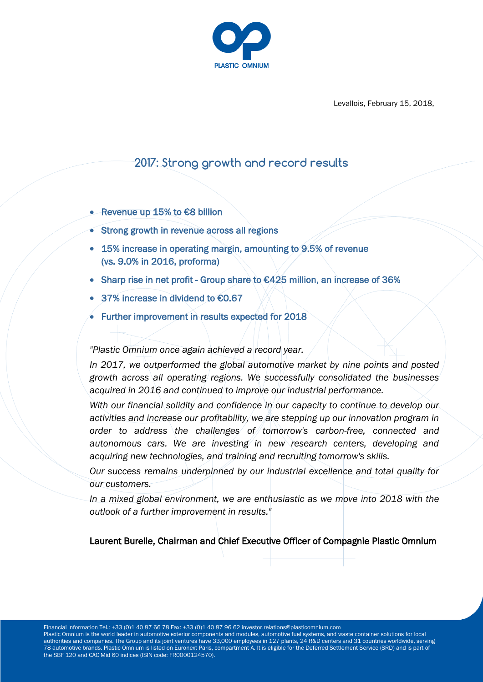

Levallois, February 15, 2018,

# **2017: Strong growth and record results**

- Revenue up 15% to €8 billion
- Strong growth in revenue across all regions
- 15% increase in operating margin, amounting to 9.5% of revenue (vs. 9.0% in 2016, proforma)
- Sharp rise in net profit Group share to €425 million, an increase of 36%
- 37% increase in dividend to €0.67
- Further improvement in results expected for 2018

*"Plastic Omnium once again achieved a record year.*

*In 2017, we outperformed the global automotive market by nine points and posted growth across all operating regions. We successfully consolidated the businesses acquired in 2016 and continued to improve our industrial performance.* 

*With our financial solidity and confidence in our capacity to continue to develop our activities and increase our profitability, we are stepping up our innovation program in order to address the challenges of tomorrow's carbon-free, connected and autonomous cars. We are investing in new research centers, developing and acquiring new technologies, and training and recruiting tomorrow's skills.*

*Our success remains underpinned by our industrial excellence and total quality for our customers.*

*In a mixed global environment, we are enthusiastic as we move into 2018 with the outlook of a further improvement in results."*

Laurent Burelle, Chairman and Chief Executive Officer of Compagnie Plastic Omnium

Financial information Tel.: +33 (0)1 40 87 66 78 Fax: +33 (0)1 40 87 96 62 investor.relations@plasticomnium.com Plastic Omnium is the world leader in automotive exterior components and modules, automotive fuel systems, and waste container solutions for local authorities and companies. The Group and its joint ventures have 33,000 employees in 127 plants, 24 R&D centers and 31 countries worldwide, serving 78 automotive brands. Plastic Omnium is listed on Euronext Paris, compartment A. It is eligible for the Deferred Settlement Service (SRD) and is part of the SBF 120 and CAC Mid 60 indices (ISIN code: FR0000124570).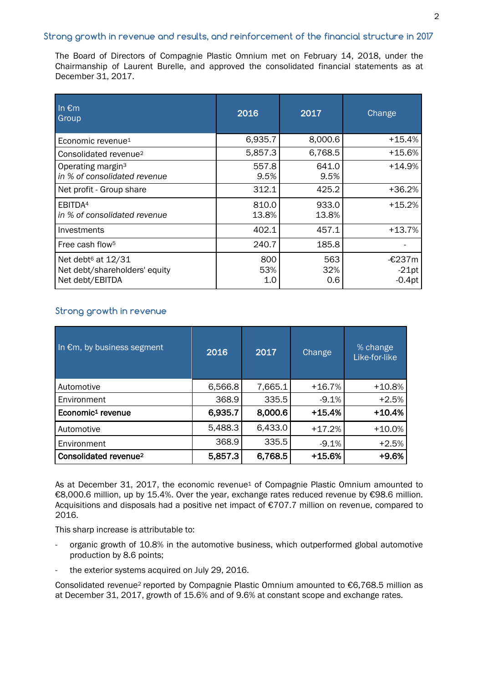# **Strong growth in revenue and results, and reinforcement of the financial structure in 2017**

The Board of Directors of Compagnie Plastic Omnium met on February 14, 2018, under the Chairmanship of Laurent Burelle, and approved the consolidated financial statements as at December 31, 2017.

| In $\epsilon$ m<br>Group                                                           | 2016              | 2017              | Change                        |
|------------------------------------------------------------------------------------|-------------------|-------------------|-------------------------------|
| Economic revenue <sup>1</sup>                                                      | 6,935.7           | 8,000.6           | +15.4%                        |
| Consolidated revenue <sup>2</sup>                                                  | 5,857.3           | 6,768.5           | $+15.6%$                      |
| Operating margin <sup>3</sup><br>in % of consolidated revenue                      | 557.8<br>9.5%     | 641.0<br>9.5%     | $+14.9%$                      |
| Net profit - Group share                                                           | 312.1             | 425.2             | +36.2%                        |
| EBITDA <sup>4</sup><br>in % of consolidated revenue                                | 810.0<br>13.8%    | 933.0<br>13.8%    | $+15.2%$                      |
| Investments                                                                        | 402.1             | 457.1             | $+13.7%$                      |
| Free cash flow <sup>5</sup>                                                        | 240.7             | 185.8             |                               |
| Net debt <sup>6</sup> at 12/31<br>Net debt/shareholders' equity<br>Net debt/EBITDA | 800<br>53%<br>1.0 | 563<br>32%<br>0.6 | -€237m<br>$-21pt$<br>$-0.4pt$ |

# **Strong growth in revenue**

| In $\epsilon$ m, by business segment | 2016    | 2017    | Change   | % change<br>Like-for-like |
|--------------------------------------|---------|---------|----------|---------------------------|
| Automotive                           | 6,566.8 | 7,665.1 | $+16.7%$ | $+10.8%$                  |
| Environment                          | 368.9   | 335.5   | $-9.1%$  | $+2.5%$                   |
| Economic <sup>1</sup> revenue        | 6,935.7 | 8,000.6 | $+15.4%$ | $+10.4%$                  |
| Automotive                           | 5,488.3 | 6,433.0 | $+17.2%$ | $+10.0\%$                 |
| Environment                          | 368.9   | 335.5   | $-9.1%$  | $+2.5%$                   |
| Consolidated revenue <sup>2</sup>    | 5,857.3 | 6,768.5 | $+15.6%$ | +9.6%                     |

As at December 31, 2017, the economic revenue<sup>1</sup> of Compagnie Plastic Omnium amounted to €8,000.6 million, up by 15.4%. Over the year, exchange rates reduced revenue by €98.6 million. Acquisitions and disposals had a positive net impact of €707.7 million on revenue, compared to 2016.

This sharp increase is attributable to:

- organic growth of 10.8% in the automotive business, which outperformed global automotive production by 8.6 points;
- the exterior systems acquired on July 29, 2016.

Consolidated revenue<sup>2</sup> reported by Compagnie Plastic Omnium amounted to €6,768.5 million as at December 31, 2017, growth of 15.6% and of 9.6% at constant scope and exchange rates.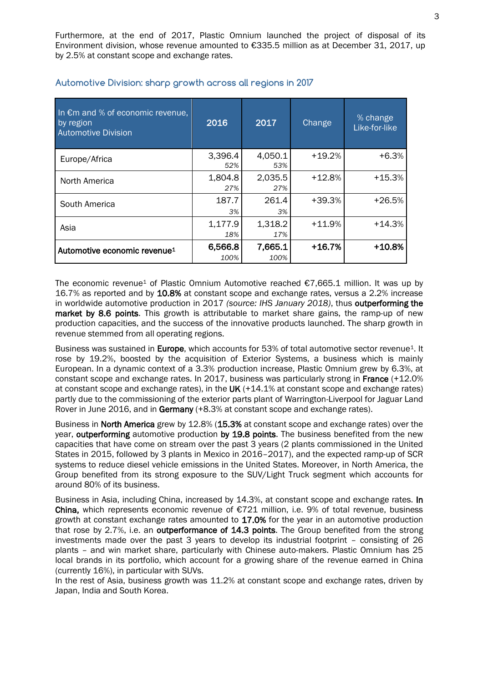Furthermore, at the end of 2017, Plastic Omnium launched the project of disposal of its Environment division, whose revenue amounted to €335.5 million as at December 31, 2017, up by 2.5% at constant scope and exchange rates.

| In $\epsilon$ m and % of economic revenue,<br>by region<br><b>Automotive Division</b> | 2016            | 2017            | Change   | % change<br>Like-for-like |
|---------------------------------------------------------------------------------------|-----------------|-----------------|----------|---------------------------|
| Europe/Africa                                                                         | 3,396.4<br>52%  | 4,050.1<br>53%  | $+19.2%$ | $+6.3%$                   |
| North America                                                                         | 1,804.8<br>27%  | 2,035.5<br>27%  | $+12.8%$ | $+15.3%$                  |
| South America                                                                         | 187.7<br>3%     | 261.4<br>3%     | $+39.3%$ | $+26.5%$                  |
| Asia                                                                                  | 1,177.9<br>18%  | 1,318.2<br>17%  | $+11.9%$ | $+14.3%$                  |
| Automotive economic revenue <sup>1</sup>                                              | 6,566.8<br>100% | 7,665.1<br>100% | $+16.7%$ | $+10.8%$                  |

# **Automotive Division: sharp growth across all regions in 2017**

The economic revenue<sup>1</sup> of Plastic Omnium Automotive reached  $\epsilon$ 7,665.1 million. It was up by 16.7% as reported and by 10.8% at constant scope and exchange rates, versus a 2.2% increase in worldwide automotive production in 2017 *(source: IHS January 2018)*, thus outperforming the market by 8.6 points. This growth is attributable to market share gains, the ramp-up of new production capacities, and the success of the innovative products launched. The sharp growth in revenue stemmed from all operating regions.

Business was sustained in Europe, which accounts for 53% of total automotive sector revenue<sup>1</sup>. It rose by 19.2%, boosted by the acquisition of Exterior Systems, a business which is mainly European. In a dynamic context of a 3.3% production increase, Plastic Omnium grew by 6.3%, at constant scope and exchange rates. In 2017, business was particularly strong in France (+12.0% at constant scope and exchange rates), in the UK  $(+14.1\%$  at constant scope and exchange rates) partly due to the commissioning of the exterior parts plant of Warrington-Liverpool for Jaguar Land Rover in June 2016, and in Germany (+8.3% at constant scope and exchange rates).

Business in North America grew by 12.8% (15.3% at constant scope and exchange rates) over the year, outperforming automotive production by 19.8 points. The business benefited from the new capacities that have come on stream over the past 3 years (2 plants commissioned in the United States in 2015, followed by 3 plants in Mexico in 2016–2017), and the expected ramp-up of SCR systems to reduce diesel vehicle emissions in the United States. Moreover, in North America, the Group benefited from its strong exposure to the SUV/Light Truck segment which accounts for around 80% of its business.

Business in Asia, including China, increased by 14.3%, at constant scope and exchange rates. In China, which represents economic revenue of €721 million, i.e. 9% of total revenue, business growth at constant exchange rates amounted to 17.0% for the year in an automotive production that rose by 2.7%, i.e. an outperformance of 14.3 points. The Group benefited from the strong investments made over the past 3 years to develop its industrial footprint – consisting of 26 plants – and win market share, particularly with Chinese auto-makers. Plastic Omnium has 25 local brands in its portfolio, which account for a growing share of the revenue earned in China (currently 16%), in particular with SUVs.

In the rest of Asia, business growth was 11.2% at constant scope and exchange rates, driven by Japan, India and South Korea.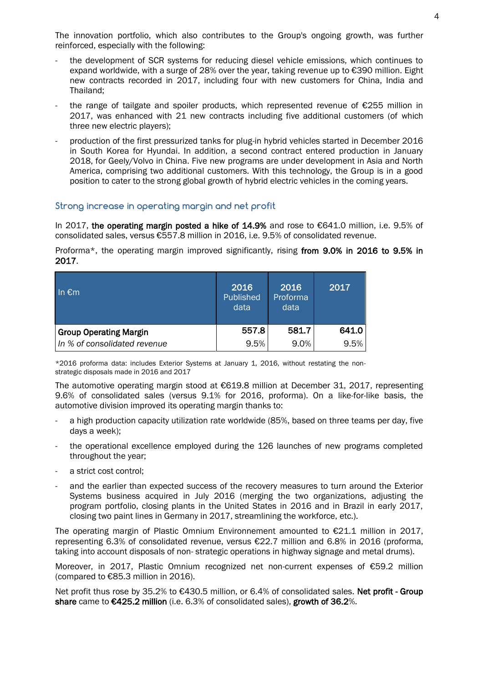The innovation portfolio, which also contributes to the Group's ongoing growth, was further reinforced, especially with the following:

- the development of SCR systems for reducing diesel vehicle emissions, which continues to expand worldwide, with a surge of 28% over the year, taking revenue up to €390 million. Eight new contracts recorded in 2017, including four with new customers for China, India and Thailand;
- the range of tailgate and spoiler products, which represented revenue of  $\epsilon$ 255 million in 2017, was enhanced with 21 new contracts including five additional customers (of which three new electric players);
- production of the first pressurized tanks for plug-in hybrid vehicles started in December 2016 in South Korea for Hyundai. In addition, a second contract entered production in January 2018, for Geely/Volvo in China. Five new programs are under development in Asia and North America, comprising two additional customers. With this technology, the Group is in a good position to cater to the strong global growth of hybrid electric vehicles in the coming years.

#### **Strong increase in operating margin and net profit**

In 2017, the operating margin posted a hike of 14.9% and rose to €641.0 million, i.e. 9.5% of consolidated sales, versus €557.8 million in 2016, i.e. 9.5% of consolidated revenue.

Proforma\*, the operating margin improved significantly, rising from 9.0% in 2016 to 9.5% in 2017.

| In $\epsilon$ m               | 2016<br>Published<br>data | 2016<br>Proforma<br>data | 2017  |
|-------------------------------|---------------------------|--------------------------|-------|
| <b>Group Operating Margin</b> | 557.8                     | 581.7                    | 641.0 |
| In % of consolidated revenue  | 9.5%                      | 9.0%                     | 9.5%  |

\*2016 proforma data: includes Exterior Systems at January 1, 2016, without restating the nonstrategic disposals made in 2016 and 2017

The automotive operating margin stood at €619.8 million at December 31, 2017, representing 9.6% of consolidated sales (versus 9.1% for 2016, proforma). On a like-for-like basis, the automotive division improved its operating margin thanks to:

- a high production capacity utilization rate worldwide (85%, based on three teams per day, five days a week);
- the operational excellence employed during the 126 launches of new programs completed throughout the year;
- a strict cost control:
- and the earlier than expected success of the recovery measures to turn around the Exterior Systems business acquired in July 2016 (merging the two organizations, adjusting the program portfolio, closing plants in the United States in 2016 and in Brazil in early 2017, closing two paint lines in Germany in 2017, streamlining the workforce, etc.).

The operating margin of Plastic Omnium Environnement amounted to €21.1 million in 2017, representing 6.3% of consolidated revenue, versus €22.7 million and 6.8% in 2016 (proforma, taking into account disposals of non- strategic operations in highway signage and metal drums).

Moreover, in 2017, Plastic Omnium recognized net non-current expenses of €59.2 million (compared to €85.3 million in 2016).

Net profit thus rose by 35.2% to €430.5 million, or 6.4% of consolidated sales. Net profit - Group share came to €425.2 million (i.e. 6.3% of consolidated sales), growth of 36.2%.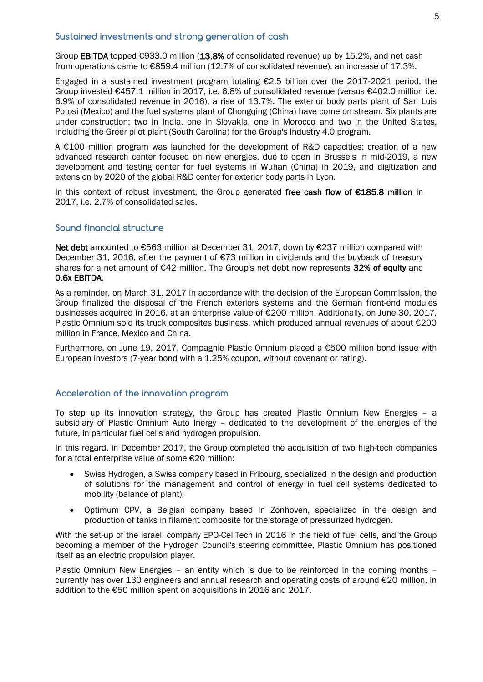#### **Sustained investments and strong generation of cash**

Group EBITDA topped €933.0 million (13.8% of consolidated revenue) up by 15.2%, and net cash from operations came to €859.4 million (12.7% of consolidated revenue), an increase of 17.3%.

Engaged in a sustained investment program totaling €2.5 billion over the 2017-2021 period, the Group invested €457.1 million in 2017, i.e. 6.8% of consolidated revenue (versus €402.0 million i.e. 6.9% of consolidated revenue in 2016), a rise of 13.7%. The exterior body parts plant of San Luis Potosi (Mexico) and the fuel systems plant of Chongqing (China) have come on stream. Six plants are under construction: two in India, one in Slovakia, one in Morocco and two in the United States, including the Greer pilot plant (South Carolina) for the Group's Industry 4.0 program.

A €100 million program was launched for the development of R&D capacities: creation of a new advanced research center focused on new energies, due to open in Brussels in mid-2019, a new development and testing center for fuel systems in Wuhan (China) in 2019, and digitization and extension by 2020 of the global R&D center for exterior body parts in Lyon.

In this context of robust investment, the Group generated free cash flow of €185.8 million in 2017, i.e. 2.7% of consolidated sales.

#### **Sound financial structure**

Net debt amounted to €563 million at December 31, 2017, down by €237 million compared with December 31, 2016, after the payment of €73 million in dividends and the buyback of treasury shares for a net amount of €42 million. The Group's net debt now represents 32% of equity and 0.6x EBITDA.

As a reminder, on March 31, 2017 in accordance with the decision of the European Commission, the Group finalized the disposal of the French exteriors systems and the German front-end modules businesses acquired in 2016, at an enterprise value of €200 million. Additionally, on June 30, 2017, Plastic Omnium sold its truck composites business, which produced annual revenues of about €200 million in France, Mexico and China.

Furthermore, on June 19, 2017, Compagnie Plastic Omnium placed a €500 million bond issue with European investors (7-year bond with a 1.25% coupon, without covenant or rating).

#### **Acceleration of the innovation program**

To step up its innovation strategy, the Group has created Plastic Omnium New Energies – a subsidiary of Plastic Omnium Auto Inergy – dedicated to the development of the energies of the future, in particular fuel cells and hydrogen propulsion.

In this regard, in December 2017, the Group completed the acquisition of two high-tech companies for a total enterprise value of some €20 million:

- Swiss Hydrogen, a Swiss company based in Fribourg, specialized in the design and production of solutions for the management and control of energy in fuel cell systems dedicated to mobility (balance of plant);
- Optimum CPV, a Belgian company based in Zonhoven, specialized in the design and production of tanks in filament composite for the storage of pressurized hydrogen.

With the set-up of the Israeli company ΞPO-CellTech in 2016 in the field of fuel cells, and the Group becoming a member of the Hydrogen Council's steering committee, Plastic Omnium has positioned itself as an electric propulsion player.

Plastic Omnium New Energies – an entity which is due to be reinforced in the coming months – currently has over 130 engineers and annual research and operating costs of around €20 million, in addition to the €50 million spent on acquisitions in 2016 and 2017.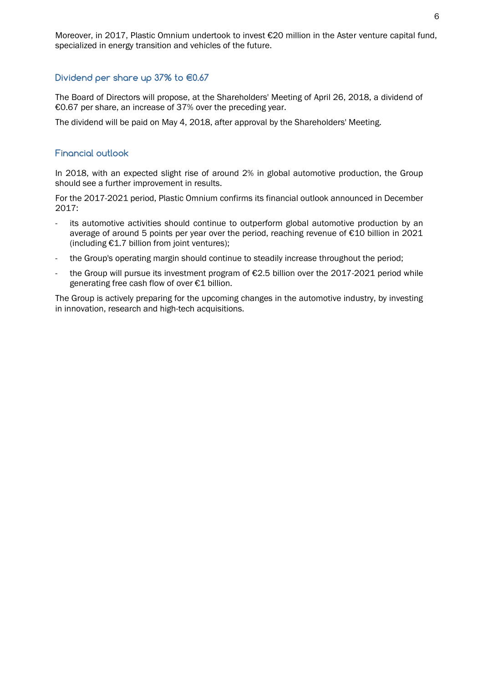# **Dividend per share up 37% to €0.67**

The Board of Directors will propose, at the Shareholders' Meeting of April 26, 2018, a dividend of €0.67 per share, an increase of 37% over the preceding year.

The dividend will be paid on May 4, 2018, after approval by the Shareholders' Meeting.

# **Financial outlook**

In 2018, with an expected slight rise of around 2% in global automotive production, the Group should see a further improvement in results.

For the 2017-2021 period, Plastic Omnium confirms its financial outlook announced in December 2017:

- its automotive activities should continue to outperform global automotive production by an average of around 5 points per year over the period, reaching revenue of €10 billion in 2021 (including €1.7 billion from joint ventures);
- the Group's operating margin should continue to steadily increase throughout the period;
- the Group will pursue its investment program of €2.5 billion over the 2017-2021 period while generating free cash flow of over €1 billion.

The Group is actively preparing for the upcoming changes in the automotive industry, by investing in innovation, research and high-tech acquisitions.